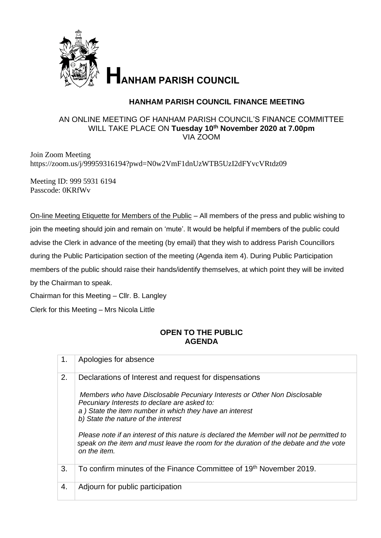

## **HANHAM PARISH COUNCIL FINANCE MEETING**

## AN ONLINE MEETING OF HANHAM PARISH COUNCIL'S FINANCE COMMITTEE WILL TAKE PLACE ON **Tuesday 10th November 2020 at 7.00pm** VIA ZOOM

Join Zoom Meeting https://zoom.us/j/99959316194?pwd=N0w2VmF1dnUzWTB5UzI2dFYvcVRtdz09

Meeting ID: 999 5931 6194 Passcode: 0KRfWv

On-line Meeting Etiquette for Members of the Public - All members of the press and public wishing to join the meeting should join and remain on 'mute'. It would be helpful if members of the public could advise the Clerk in advance of the meeting (by email) that they wish to address Parish Councillors during the Public Participation section of the meeting (Agenda item 4). During Public Participation members of the public should raise their hands/identify themselves, at which point they will be invited by the Chairman to speak. Chairman for this Meeting – Cllr. B. Langley

Clerk for this Meeting – Mrs Nicola Little

## **OPEN TO THE PUBLIC AGENDA**

| 1. | Apologies for absence                                                                                                                                                                                                                                                                 |
|----|---------------------------------------------------------------------------------------------------------------------------------------------------------------------------------------------------------------------------------------------------------------------------------------|
| 2. | Declarations of Interest and request for dispensations<br>Members who have Disclosable Pecuniary Interests or Other Non Disclosable<br>Pecuniary Interests to declare are asked to:<br>a) State the item number in which they have an interest<br>b) State the nature of the interest |
|    | Please note if an interest of this nature is declared the Member will not be permitted to<br>speak on the item and must leave the room for the duration of the debate and the vote<br>on the item.                                                                                    |
| 3. | To confirm minutes of the Finance Committee of 19th November 2019.                                                                                                                                                                                                                    |
| 4. | Adjourn for public participation                                                                                                                                                                                                                                                      |